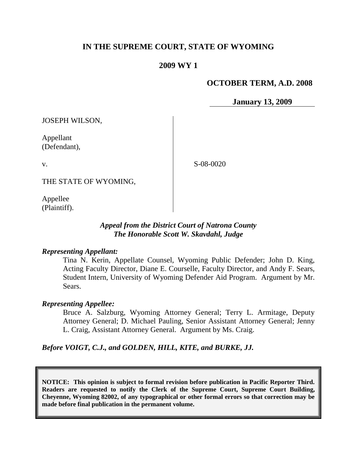# **IN THE SUPREME COURT, STATE OF WYOMING**

### **2009 WY 1**

### **OCTOBER TERM, A.D. 2008**

**January 13, 2009**

JOSEPH WILSON,

Appellant (Defendant),

v.

S-08-0020

THE STATE OF WYOMING,

Appellee (Plaintiff).

### *Appeal from the District Court of Natrona County The Honorable Scott W. Skavdahl, Judge*

#### *Representing Appellant:*

Tina N. Kerin, Appellate Counsel, Wyoming Public Defender; John D. King, Acting Faculty Director, Diane E. Courselle, Faculty Director, and Andy F. Sears, Student Intern, University of Wyoming Defender Aid Program. Argument by Mr. Sears.

### *Representing Appellee:*

Bruce A. Salzburg, Wyoming Attorney General; Terry L. Armitage, Deputy Attorney General; D. Michael Pauling, Senior Assistant Attorney General; Jenny L. Craig, Assistant Attorney General. Argument by Ms. Craig.

*Before VOIGT, C.J., and GOLDEN, HILL, KITE, and BURKE, JJ.*

**NOTICE: This opinion is subject to formal revision before publication in Pacific Reporter Third. Readers are requested to notify the Clerk of the Supreme Court, Supreme Court Building, Cheyenne, Wyoming 82002, of any typographical or other formal errors so that correction may be made before final publication in the permanent volume.**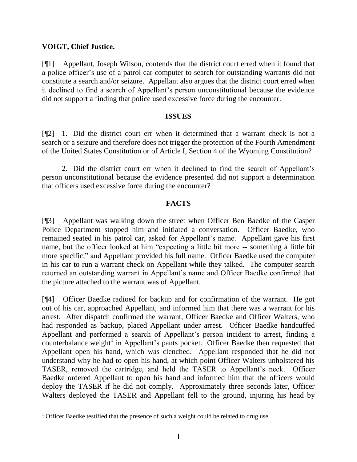### **VOIGT, Chief Justice.**

 $\overline{a}$ 

[¶1] Appellant, Joseph Wilson, contends that the district court erred when it found that a police officer's use of a patrol car computer to search for outstanding warrants did not constitute a search and/or seizure. Appellant also argues that the district court erred when it declined to find a search of Appellant's person unconstitutional because the evidence did not support a finding that police used excessive force during the encounter.

### **ISSUES**

[¶2] 1. Did the district court err when it determined that a warrant check is not a search or a seizure and therefore does not trigger the protection of the Fourth Amendment of the United States Constitution or of Article I, Section 4 of the Wyoming Constitution?

2. Did the district court err when it declined to find the search of Appellant's person unconstitutional because the evidence presented did not support a determination that officers used excessive force during the encounter?

## **FACTS**

[¶3] Appellant was walking down the street when Officer Ben Baedke of the Casper Police Department stopped him and initiated a conversation. Officer Baedke, who remained seated in his patrol car, asked for Appellant's name. Appellant gave his first name, but the officer looked at him "expecting a little bit more -- something a little bit more specific," and Appellant provided his full name. Officer Baedke used the computer in his car to run a warrant check on Appellant while they talked. The computer search returned an outstanding warrant in Appellant's name and Officer Baedke confirmed that the picture attached to the warrant was of Appellant.

[¶4] Officer Baedke radioed for backup and for confirmation of the warrant. He got out of his car, approached Appellant, and informed him that there was a warrant for his arrest. After dispatch confirmed the warrant, Officer Baedke and Officer Walters, who had responded as backup, placed Appellant under arrest. Officer Baedke handcuffed Appellant and performed a search of Appellant's person incident to arrest, finding a counterbalance weight<sup>1</sup> in Appellant's pants pocket. Officer Baedke then requested that Appellant open his hand, which was clenched. Appellant responded that he did not understand why he had to open his hand, at which point Officer Walters unholstered his TASER, removed the cartridge, and held the TASER to Appellant's neck. Officer Baedke ordered Appellant to open his hand and informed him that the officers would deploy the TASER if he did not comply. Approximately three seconds later, Officer Walters deployed the TASER and Appellant fell to the ground, injuring his head by

<sup>&</sup>lt;sup>1</sup> Officer Baedke testified that the presence of such a weight could be related to drug use.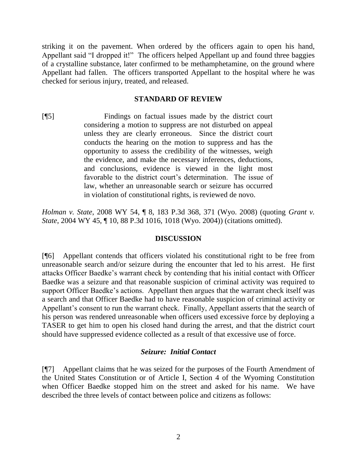striking it on the pavement. When ordered by the officers again to open his hand, Appellant said "I dropped it!" The officers helped Appellant up and found three baggies of a crystalline substance, later confirmed to be methamphetamine, on the ground where Appellant had fallen. The officers transported Appellant to the hospital where he was checked for serious injury, treated, and released.

### **STANDARD OF REVIEW**

[¶5] Findings on factual issues made by the district court considering a motion to suppress are not disturbed on appeal unless they are clearly erroneous. Since the district court conducts the hearing on the motion to suppress and has the opportunity to assess the credibility of the witnesses, weigh the evidence, and make the necessary inferences, deductions, and conclusions, evidence is viewed in the light most favorable to the district court's determination. The issue of law, whether an unreasonable search or seizure has occurred in violation of constitutional rights, is reviewed de novo.

*Holman v. State*, 2008 WY 54, ¶ 8, 183 P.3d 368, 371 (Wyo. 2008) (quoting *Grant v. State*, 2004 WY 45, ¶ 10, 88 P.3d 1016, 1018 (Wyo. 2004)) (citations omitted).

### **DISCUSSION**

[¶6] Appellant contends that officers violated his constitutional right to be free from unreasonable search and/or seizure during the encounter that led to his arrest. He first attacks Officer Baedke's warrant check by contending that his initial contact with Officer Baedke was a seizure and that reasonable suspicion of criminal activity was required to support Officer Baedke's actions. Appellant then argues that the warrant check itself was a search and that Officer Baedke had to have reasonable suspicion of criminal activity or Appellant's consent to run the warrant check. Finally, Appellant asserts that the search of his person was rendered unreasonable when officers used excessive force by deploying a TASER to get him to open his closed hand during the arrest, and that the district court should have suppressed evidence collected as a result of that excessive use of force.

### *Seizure: Initial Contact*

[¶7] Appellant claims that he was seized for the purposes of the Fourth Amendment of the United States Constitution or of Article I, Section 4 of the Wyoming Constitution when Officer Baedke stopped him on the street and asked for his name. We have described the three levels of contact between police and citizens as follows: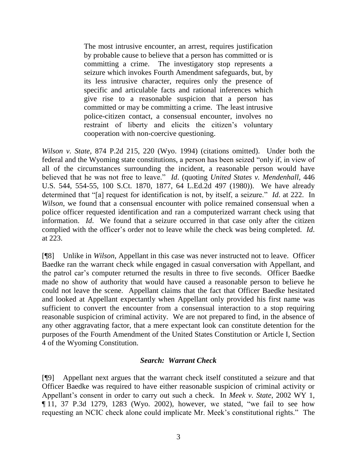The most intrusive encounter, an arrest, requires justification by probable cause to believe that a person has committed or is committing a crime. The investigatory stop represents a seizure which invokes Fourth Amendment safeguards, but, by its less intrusive character, requires only the presence of specific and articulable facts and rational inferences which give rise to a reasonable suspicion that a person has committed or may be committing a crime. The least intrusive police-citizen contact, a consensual encounter, involves no restraint of liberty and elicits the citizen's voluntary cooperation with non-coercive questioning.

*Wilson v. State*, 874 P.2d 215, 220 (Wyo. 1994) (citations omitted). Under both the federal and the Wyoming state constitutions, a person has been seized "only if, in view of all of the circumstances surrounding the incident, a reasonable person would have believed that he was not free to leave." *Id*. (quoting *United States v. Mendenhall*, 446 U.S. 544, 554-55, 100 S.Ct. 1870, 1877, 64 L.Ed.2d 497 (1980)). We have already determined that "[a] request for identification is not, by itself, a seizure." *Id*. at 222. In *Wilson*, we found that a consensual encounter with police remained consensual when a police officer requested identification and ran a computerized warrant check using that information. *Id*. We found that a seizure occurred in that case only after the citizen complied with the officer's order not to leave while the check was being completed. *Id*. at 223.

[¶8] Unlike in *Wilson*, Appellant in this case was never instructed not to leave. Officer Baedke ran the warrant check while engaged in casual conversation with Appellant, and the patrol car's computer returned the results in three to five seconds. Officer Baedke made no show of authority that would have caused a reasonable person to believe he could not leave the scene. Appellant claims that the fact that Officer Baedke hesitated and looked at Appellant expectantly when Appellant only provided his first name was sufficient to convert the encounter from a consensual interaction to a stop requiring reasonable suspicion of criminal activity. We are not prepared to find, in the absence of any other aggravating factor, that a mere expectant look can constitute detention for the purposes of the Fourth Amendment of the United States Constitution or Article I, Section 4 of the Wyoming Constitution.

### *Search: Warrant Check*

[¶9] Appellant next argues that the warrant check itself constituted a seizure and that Officer Baedke was required to have either reasonable suspicion of criminal activity or Appellant's consent in order to carry out such a check. In *Meek v. State*, 2002 WY 1, ¶ 11, 37 P.3d 1279, 1283 (Wyo. 2002), however, we stated, "we fail to see how requesting an NCIC check alone could implicate Mr. Meek's constitutional rights." The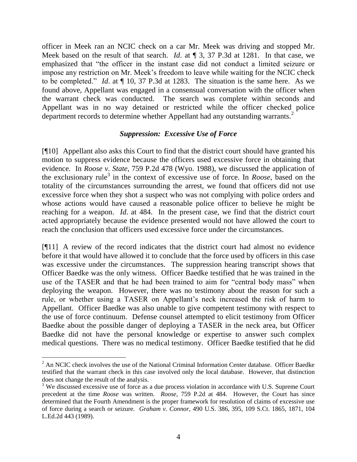officer in Meek ran an NCIC check on a car Mr. Meek was driving and stopped Mr. Meek based on the result of that search. *Id*. at ¶ 3, 37 P.3d at 1281. In that case, we emphasized that "the officer in the instant case did not conduct a limited seizure or impose any restriction on Mr. Meek's freedom to leave while waiting for the NCIC check to be completed." *Id*. at ¶ 10, 37 P.3d at 1283. The situation is the same here. As we found above, Appellant was engaged in a consensual conversation with the officer when the warrant check was conducted. The search was complete within seconds and Appellant was in no way detained or restricted while the officer checked police department records to determine whether Appellant had any outstanding warrants. $2$ 

## *Suppression: Excessive Use of Force*

[¶10] Appellant also asks this Court to find that the district court should have granted his motion to suppress evidence because the officers used excessive force in obtaining that evidence. In *Roose v. State*, 759 P.2d 478 (Wyo. 1988), we discussed the application of the exclusionary rule<sup>3</sup> in the context of excessive use of force. In *Roose*, based on the totality of the circumstances surrounding the arrest, we found that officers did not use excessive force when they shot a suspect who was not complying with police orders and whose actions would have caused a reasonable police officer to believe he might be reaching for a weapon. *Id*. at 484. In the present case, we find that the district court acted appropriately because the evidence presented would not have allowed the court to reach the conclusion that officers used excessive force under the circumstances.

[¶11] A review of the record indicates that the district court had almost no evidence before it that would have allowed it to conclude that the force used by officers in this case was excessive under the circumstances. The suppression hearing transcript shows that Officer Baedke was the only witness. Officer Baedke testified that he was trained in the use of the TASER and that he had been trained to aim for "central body mass" when deploying the weapon. However, there was no testimony about the reason for such a rule, or whether using a TASER on Appellant's neck increased the risk of harm to Appellant. Officer Baedke was also unable to give competent testimony with respect to the use of force continuum. Defense counsel attempted to elicit testimony from Officer Baedke about the possible danger of deploying a TASER in the neck area, but Officer Baedke did not have the personal knowledge or expertise to answer such complex medical questions. There was no medical testimony. Officer Baedke testified that he did

 $\overline{a}$ 

<sup>&</sup>lt;sup>2</sup> An NCIC check involves the use of the National Criminal Information Center database. Officer Baedke testified that the warrant check in this case involved only the local database. However, that distinction does not change the result of the analysis.

<sup>&</sup>lt;sup>3</sup> We discussed excessive use of force as a due process violation in accordance with U.S. Supreme Court precedent at the time *Roose* was written. *Roose*, 759 P.2d at 484. However, the Court has since determined that the Fourth Amendment is the proper framework for resolution of claims of excessive use of force during a search or seizure. *Graham v. Connor*, 490 U.S. 386, 395, 109 S.Ct. 1865, 1871, 104 L.Ed.2d 443 (1989).